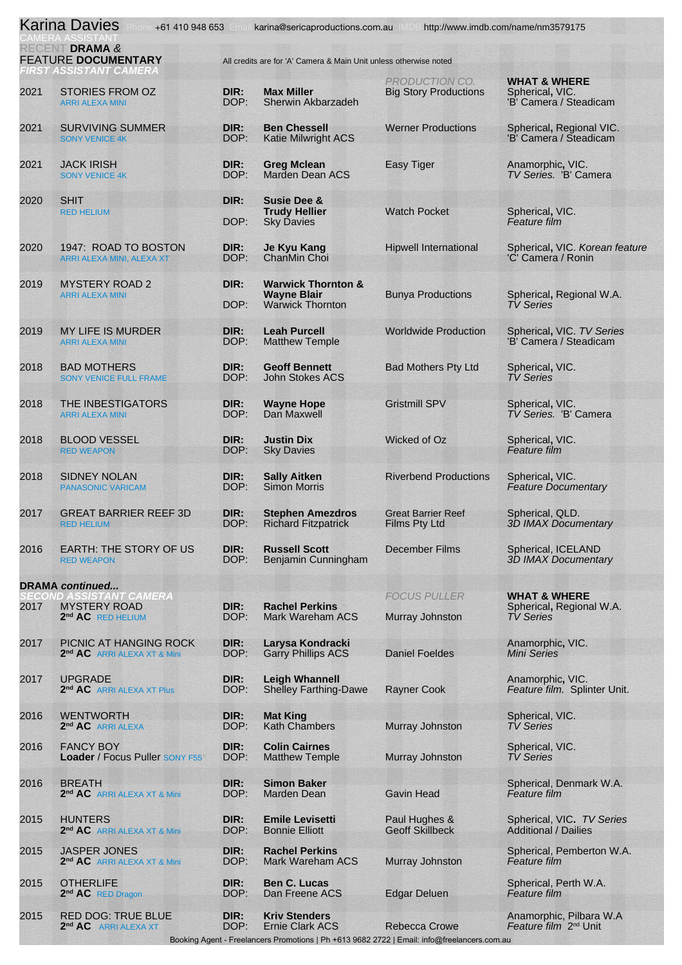|                                              | <b>Karina Davies</b><br>+61 410 948 653                                         |                                                                   | karina@sericaproductions.com.au                                                | (小)                                               | http://www.imdb.com/name/nm3579175                                      |  |
|----------------------------------------------|---------------------------------------------------------------------------------|-------------------------------------------------------------------|--------------------------------------------------------------------------------|---------------------------------------------------|-------------------------------------------------------------------------|--|
| RECENT DRAMA &<br><b>FEATURE DOCUMENTARY</b> |                                                                                 | All credits are for 'A' Camera & Main Unit unless otherwise noted |                                                                                |                                                   |                                                                         |  |
| 2021                                         | FIRST ASSISTANT CAMERA<br><b>STORIES FROM OZ</b><br><b>ARRI ALEXA MINI</b>      | DIR:<br>DOP:                                                      | <b>Max Miller</b><br>Sherwin Akbarzadeh                                        | PRODUCTION CO.<br><b>Big Story Productions</b>    | <b>WHAT &amp; WHERE</b><br>Spherical, VIC.<br>'B' Camera / Steadicam    |  |
| 2021                                         | <b>SURVIVING SUMMER</b><br><b>SONY VENICE 4K</b>                                | DIR:<br>DOP:                                                      | <b>Ben Chessell</b><br><b>Katie Milwright ACS</b>                              | <b>Werner Productions</b>                         | Spherical, Regional VIC.<br>'B' Camera / Steadicam                      |  |
| 2021                                         | <b>JACK IRISH</b><br><b>SONY VENICE 4K</b>                                      | DIR:<br>DOP:                                                      | <b>Greg Mclean</b><br><b>Marden Dean ACS</b>                                   | <b>Easy Tiger</b>                                 | Anamorphic, VIC.<br>TV Series. 'B' Camera                               |  |
| 2020                                         | <b>SHIT</b><br><b>RED HELIUM</b>                                                | DIR:<br>DOP:                                                      | <b>Susie Dee &amp;</b><br><b>Trudy Hellier</b><br><b>Sky Davies</b>            | <b>Watch Pocket</b>                               | Spherical, VIC.<br>Feature film                                         |  |
| 2020                                         | 1947: ROAD TO BOSTON<br>ARRI ALEXA MINI, ALEXA XT                               | DIR:<br>DOP:                                                      | <b>Je Kyu Kang</b><br>ChanMin Choi                                             | <b>Hipwell International</b>                      | Spherical, VIC. Korean feature<br>'C' Camera / Ronin                    |  |
| 2019                                         | <b>MYSTERY ROAD 2</b><br><b>ARRI ALEXA MINI</b>                                 | DIR:<br>DOP:                                                      | <b>Warwick Thornton &amp;</b><br><b>Wayne Blair</b><br><b>Warwick Thornton</b> | <b>Bunya Productions</b>                          | Spherical, Regional W.A.<br><b>TV Series</b>                            |  |
| 2019                                         | <b>MY LIFE IS MURDER</b><br><b>ARRI ALEXA MINI</b>                              | DIR:<br>DOP:                                                      | <b>Leah Purcell</b><br><b>Matthew Temple</b>                                   | <b>Worldwide Production</b>                       | Spherical, VIC. TV Series<br>'B' Camera / Steadicam                     |  |
| 2018                                         | <b>BAD MOTHERS</b><br><b>SONY VENICE FULL FRAME</b>                             | DIR:<br>DOP:                                                      | <b>Geoff Bennett</b><br><b>John Stokes ACS</b>                                 | <b>Bad Mothers Pty Ltd</b>                        | Spherical, VIC.<br><b>TV Series</b>                                     |  |
| 2018                                         | THE INBESTIGATORS<br><b>ARRI ALEXA MINI</b>                                     | DIR:<br>DOP:                                                      | <b>Wayne Hope</b><br>Dan Maxwell                                               | <b>Gristmill SPV</b>                              | Spherical, VIC.<br>TV Series. 'B' Camera                                |  |
| 2018                                         | <b>BLOOD VESSEL</b><br><b>RED WEAPON</b>                                        | DIR:<br>DOP:                                                      | <b>Justin Dix</b><br><b>Sky Davies</b>                                         | Wicked of Oz                                      | Spherical, VIC.<br>Feature film                                         |  |
| 2018                                         | <b>SIDNEY NOLAN</b><br><b>PANASONIC VARICAM</b>                                 | DIR:<br>DOP:                                                      | <b>Sally Aitken</b><br><b>Simon Morris</b>                                     | <b>Riverbend Productions</b>                      | Spherical, VIC.<br><b>Feature Documentary</b>                           |  |
| 2017                                         | <b>GREAT BARRIER REEF 3D</b><br><b>RED HELIUM</b>                               | DIR:<br>DOP:                                                      | <b>Stephen Amezdros</b><br><b>Richard Fitzpatrick</b>                          | <b>Great Barrier Reef</b><br><b>Films Pty Ltd</b> | Spherical, QLD.<br><b>3D IMAX Documentary</b>                           |  |
| 2016                                         | <b>EARTH: THE STORY OF US</b><br><b>RED WEAPON</b>                              | DIR:<br>DOP:                                                      | <b>Russell Scott</b><br>Benjamin Cunningham                                    | <b>December Films</b>                             | Spherical, ICELAND<br><b>3D IMAX Documentary</b>                        |  |
|                                              | <b>DRAMA</b> continued                                                          |                                                                   |                                                                                |                                                   |                                                                         |  |
| 2017                                         | SECOND ASSISTANT CAMERA<br><b>MYSTERY ROAD</b><br>2 <sup>nd</sup> AC RED HELIUM | DIR:<br>DOP:                                                      | <b>Rachel Perkins</b><br>Mark Wareham ACS                                      | <b>FOCUS PULLER</b><br>Murray Johnston            | <b>WHAT &amp; WHERE</b><br>Spherical, Regional W.A.<br><b>TV Series</b> |  |
| 2017                                         | PICNIC AT HANGING ROCK<br>2 <sup>nd</sup> AC ARRI ALEXA XT & Mini               | DIR:<br>DOP:                                                      | Larysa Kondracki<br><b>Garry Phillips ACS</b>                                  | <b>Daniel Foeldes</b>                             | Anamorphic, VIC.<br><b>Mini Series</b>                                  |  |
| 2017                                         | <b>UPGRADE</b><br>2 <sup>nd</sup> AC ARRI ALEXA XT Plus                         | DIR:<br>DOP:                                                      | <b>Leigh Whannell</b><br><b>Shelley Farthing-Dawe</b>                          | <b>Rayner Cook</b>                                | Anamorphic, VIC.<br>Feature film. Splinter Unit.                        |  |
| 2016                                         | <b>WENTWORTH</b><br>2 <sup>nd</sup> AC ARRI ALEXA                               | DIR:<br>DOP:                                                      | <b>Mat King</b><br><b>Kath Chambers</b>                                        | Murray Johnston                                   | Spherical, VIC.<br><b>TV Series</b>                                     |  |
| 2016                                         | <b>FANCY BOY</b><br>Loader / Focus Puller SONY F55                              | DIR:<br>DOP:                                                      | <b>Colin Cairnes</b><br><b>Matthew Temple</b>                                  | Murray Johnston                                   | Spherical, VIC.<br><b>TV Series</b>                                     |  |
| 2016                                         | <b>BREATH</b><br>2 <sup>nd</sup> AC ARRI ALEXA XT & Mini                        | DIR:<br>DOP:                                                      | <b>Simon Baker</b><br>Marden Dean                                              | <b>Gavin Head</b>                                 | Spherical, Denmark W.A.<br>Feature film                                 |  |
| 2015                                         | <b>HUNTERS</b><br>2 <sup>nd</sup> AC ARRI ALEXA XT & Mini                       | DIR:<br>DOP:                                                      | <b>Emile Levisetti</b><br><b>Bonnie Elliott</b>                                | Paul Hughes &<br><b>Geoff Skillbeck</b>           | Spherical, VIC. TV Series<br><b>Additional / Dailies</b>                |  |
| 2015                                         | <b>JASPER JONES</b><br>2 <sup>nd</sup> AC ARRI ALEXA XT & Mini                  | DIR:<br>DOP:                                                      | <b>Rachel Perkins</b><br>Mark Wareham ACS                                      | Murray Johnston                                   | Spherical, Pemberton W.A.<br>Feature film                               |  |
| 2015                                         | <b>OTHERLIFE</b><br>2 <sup>nd</sup> AC RED Dragon                               | DIR:<br>DOP:                                                      | <b>Ben C. Lucas</b><br>Dan Freene ACS                                          | <b>Edgar Deluen</b>                               | Spherical, Perth W.A.<br>Feature film                                   |  |
| 2015                                         | <b>RED DOG: TRUE BLUE</b><br>2 <sup>nd</sup> AC ARRI ALEXA XT                   | DIR:<br>DOP:                                                      | <b>Kriv Stenders</b><br><b>Ernie Clark ACS</b>                                 | <b>Rebecca Crowe</b>                              | Anamorphic, Pilbara W.A.<br>Feature film 2 <sup>nd</sup> Unit           |  |

Booking Agent - Freelancers Promotions | Ph +613 9682 2722 | Email: info@freelancers.com.au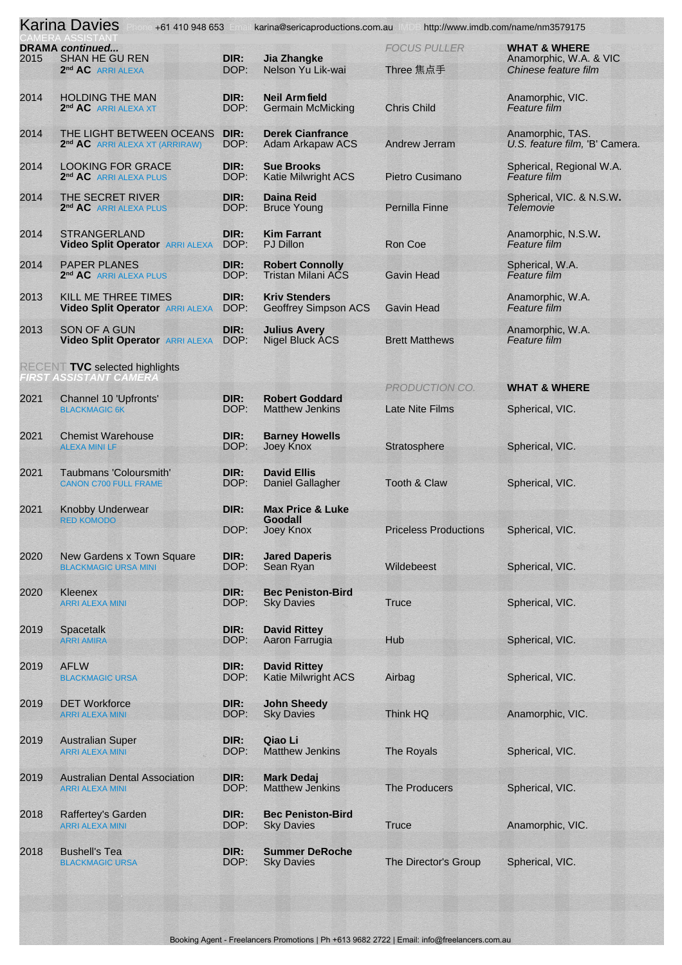|      | <b>Karina Davies</b>                                                             |              | +61 410 948 653 karina@sericaproductions.com.au http://www.imdb.com/name/nm3579175 |                                  |                                                                           |
|------|----------------------------------------------------------------------------------|--------------|------------------------------------------------------------------------------------|----------------------------------|---------------------------------------------------------------------------|
| 2015 | <b>DRAMA</b> continued<br><b>SHAN HE GU REN</b><br>2 <sup>nd</sup> AC ARRI ALEXA | DIR:<br>DOP: | <b>Jia Zhangke</b><br>Nelson Yu Lik-wai                                            | <b>FOCUS PULLER</b><br>Three 焦点手 | <b>WHAT &amp; WHERE</b><br>Anamorphic, W.A. & VIC<br>Chinese feature film |
| 2014 | <b>HOLDING THE MAN</b><br>2 <sup>nd</sup> AC ARRI ALEXA XT                       | DIR:<br>DOP: | <b>Neil Armfield</b><br><b>Germain McMicking</b>                                   | <b>Chris Child</b>               | Anamorphic, VIC.<br>Feature film                                          |
| 2014 | THE LIGHT BETWEEN OCEANS<br>2 <sup>nd</sup> AC ARRI ALEXA XT (ARRIRAW)           | DIR:<br>DOP: | <b>Derek Cianfrance</b><br><b>Adam Arkapaw ACS</b>                                 | <b>Andrew Jerram</b>             | Anamorphic, TAS.<br>U.S. feature film, 'B' Camera.                        |
| 2014 | <b>LOOKING FOR GRACE</b><br>2 <sup>nd</sup> AC ARRI ALEXA PLUS                   | DIR:<br>DOP: | <b>Sue Brooks</b><br><b>Katie Milwright ACS</b>                                    | Pietro Cusimano                  | Spherical, Regional W.A.<br>Feature film                                  |
| 2014 | THE SECRET RIVER<br>2 <sup>nd</sup> AC ARRI ALEXA PLUS                           | DIR:<br>DOP: | <b>Daina Reid</b><br><b>Bruce Young</b>                                            | Pernilla Finne                   | Spherical, VIC. & N.S.W.<br><b>Telemovie</b>                              |
| 2014 | <b>STRANGERLAND</b><br><b>Video Split Operator ARRI ALEXA</b>                    | DIR:<br>DOP: | <b>Kim Farrant</b><br><b>PJ Dillon</b>                                             | Ron Coe                          | Anamorphic, N.S.W.<br><b>Feature film</b>                                 |
| 2014 | <b>PAPER PLANES</b><br>2 <sup>nd</sup> AC ARRI ALEXA PLUS                        | DIR:<br>DOP: | <b>Robert Connolly</b><br>Tristan Milani ACS                                       | <b>Gavin Head</b>                | Spherical, W.A.<br><b>Feature film</b>                                    |
| 2013 | KILL ME THREE TIMES<br><b>Video Split Operator ARRI ALEXA</b>                    | DIR:<br>DOP: | <b>Kriv Stenders</b><br><b>Geoffrey Simpson ACS</b>                                | <b>Gavin Head</b>                | Anamorphic, W.A.<br>Feature film                                          |
| 2013 | <b>SON OF A GUN</b><br><b>Video Split Operator ARRI ALEXA</b>                    | DIR:<br>DOP: | <b>Julius Avery</b><br><b>Nigel Bluck ACS</b>                                      | <b>Brett Matthews</b>            | Anamorphic, W.A.<br><b>Feature film</b>                                   |
|      | <b>RECENT TVC selected highlights</b><br>FIRST ASSISTANT CAMERA                  |              |                                                                                    |                                  |                                                                           |
|      |                                                                                  |              |                                                                                    | PRODUCTION CO.                   | <b>WHAT &amp; WHERE</b>                                                   |
| 2021 | Channel 10 'Upfronts'<br><b>BLACKMAGIC 6K</b>                                    | DIR:<br>DOP: | <b>Robert Goddard</b><br><b>Matthew Jenkins</b>                                    | <b>Late Nite Films</b>           | Spherical, VIC.                                                           |
| 2021 | <b>Chemist Warehouse</b><br><b>ALEXA MINI LF</b>                                 | DIR:<br>DOP: | <b>Barney Howells</b><br>Joey Knox                                                 | Stratosphere                     | Spherical, VIC.                                                           |
| 2021 | Taubmans 'Coloursmith'<br><b>CANON C700 FULL FRAME</b>                           | DIR:<br>DOP: | <b>David Ellis</b><br><b>Daniel Gallagher</b>                                      | Tooth & Claw                     | Spherical, VIC.                                                           |
| 2021 | <b>Knobby Underwear</b>                                                          | DIR:         | <b>Max Price &amp; Luke</b>                                                        |                                  |                                                                           |
|      | <b>RED KOMODO</b>                                                                | DOP:         | Goodall<br>Joey Knox                                                               | <b>Priceless Productions</b>     | Spherical, VIC.                                                           |
| 2020 | New Gardens x Town Square<br><b>BLACKMAGIC URSA MINI</b>                         | DIR:<br>DOP: | <b>Jared Daperis</b><br>Sean Ryan                                                  | Wildebeest                       | Spherical, VIC.                                                           |
| 2020 | Kleenex<br><b>ARRI ALEXA MINI</b>                                                | DIR:<br>DOP: | <b>Bec Peniston-Bird</b><br><b>Sky Davies</b>                                      | <b>Truce</b>                     | Spherical, VIC.                                                           |
| 2019 | Spacetalk<br><b>ARRI AMIRA</b>                                                   | DIR:<br>DOP: | <b>David Rittey</b><br>Aaron Farrugia                                              | Hub                              | Spherical, VIC.                                                           |
| 2019 | <b>AFLW</b><br><b>BLACKMAGIC URSA</b>                                            | DIR:<br>DOP: | <b>David Rittey</b><br><b>Katie Milwright ACS</b>                                  | Airbag                           | Spherical, VIC.                                                           |
| 2019 | <b>DET Workforce</b><br><b>ARRI ALEXA MINI</b>                                   | DIR:<br>DOP: | <b>John Sheedy</b><br><b>Sky Davies</b>                                            | Think HQ                         | Anamorphic, VIC.                                                          |
| 2019 | <b>Australian Super</b><br><b>ARRI ALEXA MINI</b>                                | DIR:<br>DOP: | Qiao Li<br><b>Matthew Jenkins</b>                                                  | The Royals                       | Spherical, VIC.                                                           |
| 2019 | <b>Australian Dental Association</b><br><b>ARRI ALEXA MINI</b>                   | DIR:<br>DOP: | <b>Mark Dedaj</b><br><b>Matthew Jenkins</b>                                        | The Producers                    | Spherical, VIC.                                                           |
| 2018 | Raffertey's Garden<br><b>ARRI ALEXA MINI</b>                                     | DIR:<br>DOP: | <b>Bec Peniston-Bird</b><br><b>Sky Davies</b>                                      | <b>Truce</b>                     | Anamorphic, VIC.                                                          |
| 2018 | <b>Bushell's Tea</b><br><b>BLACKMAGIC URSA</b>                                   | DIR:<br>DOP: | <b>Summer DeRoche</b><br><b>Sky Davies</b>                                         | The Director's Group             | Spherical, VIC.                                                           |